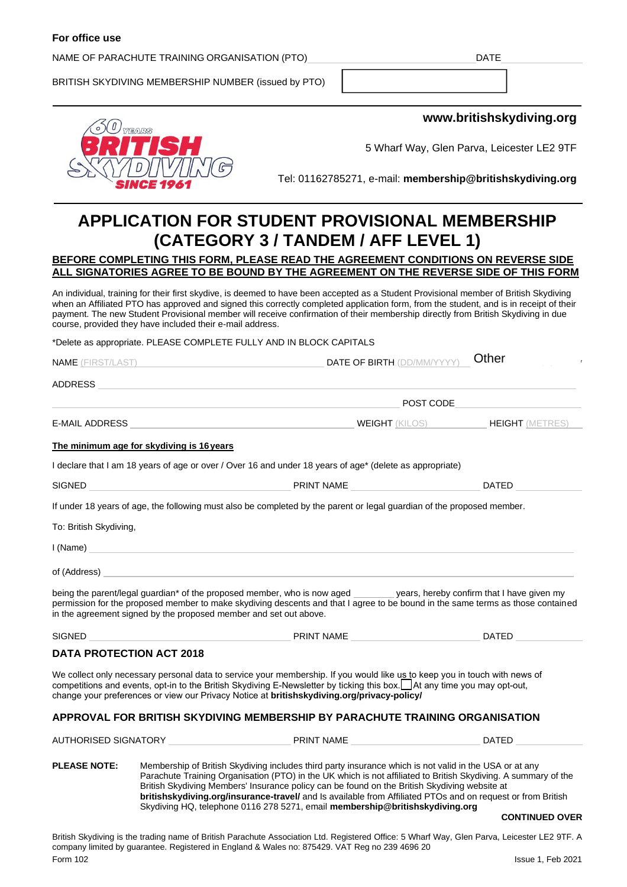#### **For office use**

#### NAME OF PARACHUTE TRAINING ORGANISATION (PTO) UNITED ASSESSED AND RESEARCH IN A DATE

BRITISH SKYDIVING MEMBERSHIP NUMBER (issued by PTO)



**www.britishskydiving.org**

 $\bigcap_{i}$ 

5 Wharf Way, Glen Parva, Leicester LE2 9TF

Tel: 01162785271, e-mail: **membership@britishskydiving.org**

# **APPLICATION FOR STUDENT PROVISIONAL MEMBERSHIP (CATEGORY 3 / TANDEM / AFF LEVEL 1)**

### **BEFORE COMPLETING THIS FORM, PLEASE READ THE AGREEMENT CONDITIONS ON REVERSE SIDE ALL SIGNATORIES AGREE TO BE BOUND BY THE AGREEMENT ON THE REVERSE SIDE OF THIS FORM**

An individual, training for their first skydive, is deemed to have been accepted as a Student Provisional member of British Skydiving when an Affiliated PTO has approved and signed this correctly completed application form, from the student, and is in receipt of their payment. The new Student Provisional member will receive confirmation of their membership directly from British Skydiving in due course, provided they have included their e-mail address.

\*Delete as appropriate. PLEASE COMPLETE FULLY AND IN BLOCK CAPITALS

| <b>NAME</b> (FIRST/LAST) |                                           | <b>DATE OF BIRTH (DD/MM/YYYY)</b>                                                                                                                                                                                                                                                                                                                                                                                                                                                                                       | <b>Offici</b>                                                                                                          |  |
|--------------------------|-------------------------------------------|-------------------------------------------------------------------------------------------------------------------------------------------------------------------------------------------------------------------------------------------------------------------------------------------------------------------------------------------------------------------------------------------------------------------------------------------------------------------------------------------------------------------------|------------------------------------------------------------------------------------------------------------------------|--|
| ADDRESS                  |                                           |                                                                                                                                                                                                                                                                                                                                                                                                                                                                                                                         |                                                                                                                        |  |
|                          |                                           |                                                                                                                                                                                                                                                                                                                                                                                                                                                                                                                         | <b>Example 2018 19 Service Service Service Service Service Service Service Service Service Service Service Service</b> |  |
| E-MAIL ADDRESS           |                                           | <b>WEIGHT</b> (KILOS) <b>HEIGHT</b> (METRES)                                                                                                                                                                                                                                                                                                                                                                                                                                                                            |                                                                                                                        |  |
|                          | The minimum age for skydiving is 16 years |                                                                                                                                                                                                                                                                                                                                                                                                                                                                                                                         |                                                                                                                        |  |
|                          |                                           | I declare that I am 18 years of age or over / Over 16 and under 18 years of age* (delete as appropriate)                                                                                                                                                                                                                                                                                                                                                                                                                |                                                                                                                        |  |
|                          |                                           |                                                                                                                                                                                                                                                                                                                                                                                                                                                                                                                         | DATED                                                                                                                  |  |
|                          |                                           | If under 18 years of age, the following must also be completed by the parent or legal guardian of the proposed member.                                                                                                                                                                                                                                                                                                                                                                                                  |                                                                                                                        |  |
| To: British Skydiving,   |                                           |                                                                                                                                                                                                                                                                                                                                                                                                                                                                                                                         |                                                                                                                        |  |
|                          |                                           |                                                                                                                                                                                                                                                                                                                                                                                                                                                                                                                         |                                                                                                                        |  |
|                          |                                           | of (Address) <b>Executive Contract Contract Contract Contract Contract Contract Contract Contract Contract Contract Contract Contract Contract Contract Contract Contract Contract Contract Contract Contract Contract Contract </b>                                                                                                                                                                                                                                                                                    |                                                                                                                        |  |
|                          |                                           | being the parent/legal guardian* of the proposed member, who is now aged _______ years, hereby confirm that I have given my<br>permission for the proposed member to make skydiving descents and that I agree to be bound in the same terms as those contained<br>in the agreement signed by the proposed member and set out above.                                                                                                                                                                                     |                                                                                                                        |  |
| SIGNED                   |                                           | PRINT NAME                                                                                                                                                                                                                                                                                                                                                                                                                                                                                                              | <b>DATED</b>                                                                                                           |  |
|                          | <b>DATA PROTECTION ACT 2018</b>           |                                                                                                                                                                                                                                                                                                                                                                                                                                                                                                                         |                                                                                                                        |  |
|                          |                                           | We collect only necessary personal data to service your membership. If you would like us to keep you in touch with news of<br>competitions and events, opt-in to the British Skydiving E-Newsletter by ticking this box.██ At any time you may opt-out,<br>change your preferences or view our Privacy Notice at britishskydiving.org/privacy-policy/                                                                                                                                                                   |                                                                                                                        |  |
|                          |                                           | APPROVAL FOR BRITISH SKYDIVING MEMBERSHIP BY PARACHUTE TRAINING ORGANISATION                                                                                                                                                                                                                                                                                                                                                                                                                                            |                                                                                                                        |  |
|                          |                                           |                                                                                                                                                                                                                                                                                                                                                                                                                                                                                                                         | DATED                                                                                                                  |  |
| <b>PLEASE NOTE:</b>      |                                           | Membership of British Skydiving includes third party insurance which is not valid in the USA or at any<br>Parachute Training Organisation (PTO) in the UK which is not affiliated to British Skydiving. A summary of the<br>British Skydiving Members' Insurance policy can be found on the British Skydiving website at<br>britishskydiving.org/insurance-travel/ and Is available from Affiliated PTOs and on request or from British<br>Skydiving HQ, telephone 0116 278 5271, email membership@britishskydiving.org |                                                                                                                        |  |

#### **CONTINUED OVER**

British Skydiving is the trading name of British Parachute Association Ltd. Registered Office: 5 Wharf Way, Glen Parva, Leicester LE2 9TF. A company limited by guarantee. Registered in England & Wales no: 875429. VAT Reg no 239 4696 20 Form 102 Issue 1, Feb 2021